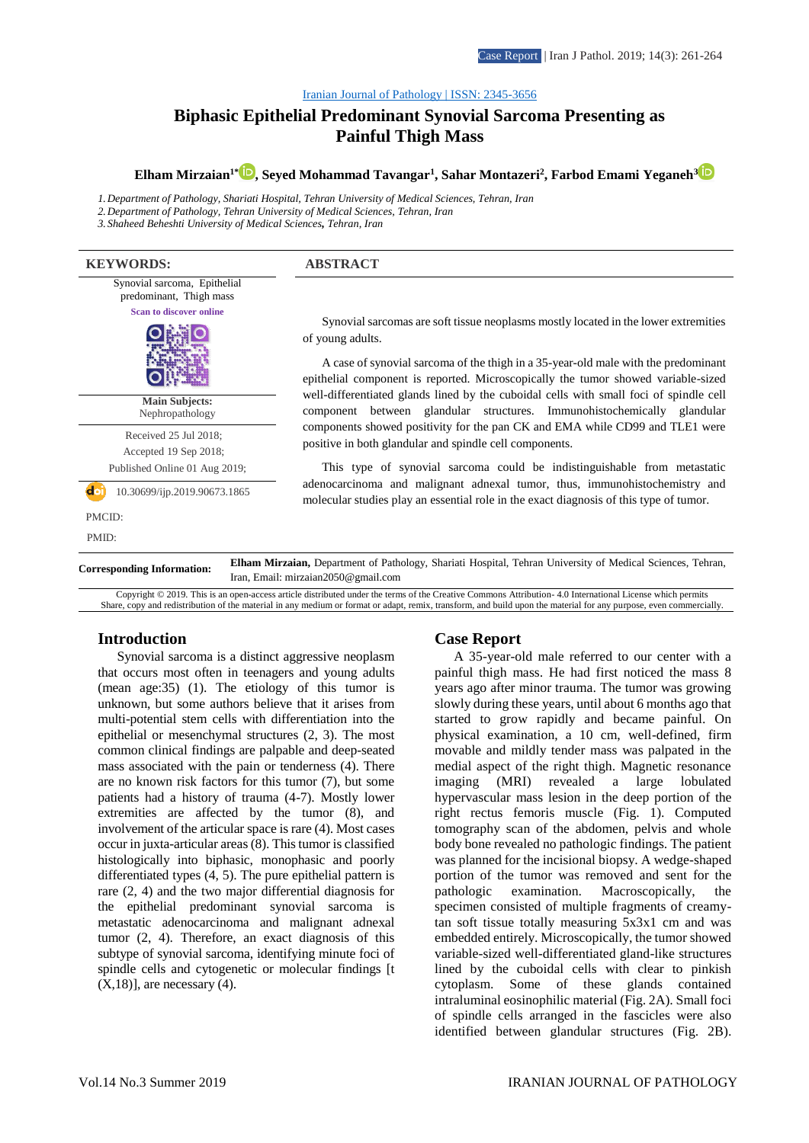#### [Iranian Journal of Pathology | ISSN: 2345-3656](http://ijp.iranpath.org/)

# **Biphasic Epithelial Predominant Synovial Sarcoma Presenting as Painful Thigh Mass**

**Elham Mirzaian1\* [,](https://www.orcid.org/0000-0001-5408-3911) Seyed Mohammad Tavangar<sup>1</sup> , Sahar Montazeri<sup>2</sup> , Farbod Emami Yeganeh<sup>3</sup>**

*1.Department of Pathology, Shariati Hospital, Tehran University of Medical Sciences, Tehran, Iran 2.Department of Pathology, Tehran University of Medical Sciences, Tehran, Iran 3. Shaheed Beheshti University of Medical Sciences, Tehran, Iran*

**KEYWORDS: ABSTRACT** Synovial sarcoma, Epithelial predominant, Thigh mass **Scan to discover online Main Subjects:**  Nephropathology Received 25 Jul 2018; Accepted 19 Sep 2018; Published Online 01 Aug 2019; 10.30699/ijp.2019.90673.1865 PMCID: PMID:

Synovial sarcomas are soft tissue neoplasms mostly located in the lower extremities of young adults.

A case of synovial sarcoma of the thigh in a 35-year-old male with the predominant epithelial component is reported. Microscopically the tumor showed variable-sized well-differentiated glands lined by the cuboidal cells with small foci of spindle cell component between glandular structures. Immunohistochemically glandular components showed positivity for the pan CK and EMA while CD99 and TLE1 were positive in both glandular and spindle cell components.

This type of synovial sarcoma could be indistinguishable from metastatic adenocarcinoma and malignant adnexal tumor, thus, immunohistochemistry and molecular studies play an essential role in the exact diagnosis of this type of tumor.

**Corresponding Information: Elham Mirzaian,** Department of Pathology, Shariati Hospital, Tehran University of Medical Sciences, Tehran, Iran, Email: mirzaian2050@gmail.com

Copyright © 2019. This is an open-access article distributed under the terms of the Creative Commons Attribution- 4.0 International License which permits Share, copy and redistribution of the material in any medium or format or adapt, remix, transform, and build upon the material for any purpose, even commercially.

#### **Introduction**

Synovial sarcoma is a distinct aggressive neoplasm that occurs most often in teenagers and young adults (mean age:35) (1). The etiology of this tumor is unknown, but some authors believe that it arises from multi-potential stem cells with differentiation into the epithelial or mesenchymal structures (2, 3). The most common clinical findings are palpable and deep-seated mass associated with the pain or tenderness (4). There are no known risk factors for this tumor (7), but some patients had a history of trauma (4-7). Mostly lower extremities are affected by the tumor (8), and involvement of the articular space is rare (4). Most cases occur in juxta-articular areas (8). This tumor is classified histologically into biphasic, monophasic and poorly differentiated types (4, 5). The pure epithelial pattern is rare (2, 4) and the two major differential diagnosis for the epithelial predominant synovial sarcoma is metastatic adenocarcinoma and malignant adnexal tumor (2, 4). Therefore, an exact diagnosis of this subtype of synovial sarcoma, identifying minute foci of spindle cells and cytogenetic or molecular findings [t  $(X,18)$ ], are necessary  $(4)$ .

#### **Case Report**

A 35-year-old male referred to our center with a painful thigh mass. He had first noticed the mass 8 years ago after minor trauma. The tumor was growing slowly during these years, until about 6 months ago that started to grow rapidly and became painful. On physical examination, a 10 cm, well-defined, firm movable and mildly tender mass was palpated in the medial aspect of the right thigh. Magnetic resonance imaging (MRI) revealed a large lobulated hypervascular mass lesion in the deep portion of the right rectus femoris muscle (Fig. 1). Computed tomography scan of the abdomen, pelvis and whole body bone revealed no pathologic findings. The patient was planned for the incisional biopsy. A wedge-shaped portion of the tumor was removed and sent for the pathologic examination. Macroscopically, the specimen consisted of multiple fragments of creamytan soft tissue totally measuring 5x3x1 cm and was embedded entirely. Microscopically, the tumor showed variable-sized well-differentiated gland-like structures lined by the cuboidal cells with clear to pinkish cytoplasm. Some of these glands contained intraluminal eosinophilic material (Fig. 2A). Small foci of spindle cells arranged in the fascicles were also identified between glandular structures (Fig. 2B).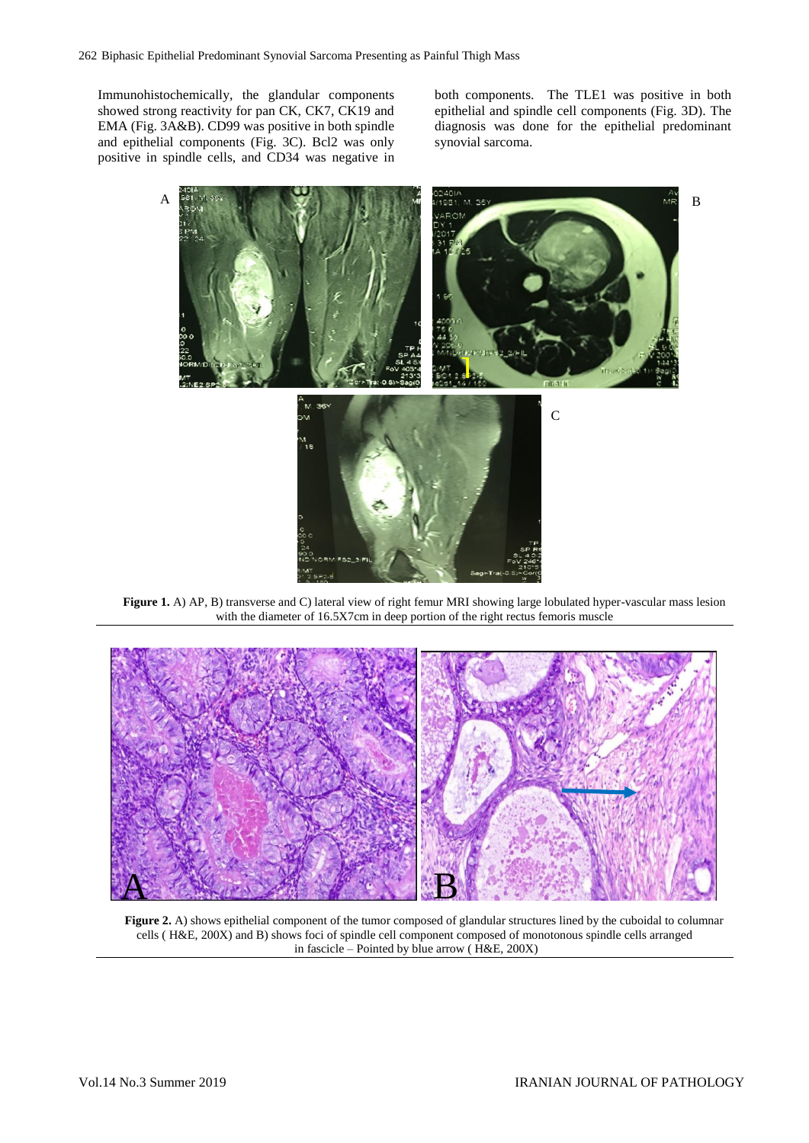Immunohistochemically, the glandular components showed strong reactivity for pan CK, CK7, CK19 and EMA (Fig. 3A&B). CD99 was positive in both spindle and epithelial components (Fig. 3C). Bcl2 was only positive in spindle cells, and CD34 was negative in both components. The TLE1 was positive in both epithelial and spindle cell components (Fig. 3D). The diagnosis was done for the epithelial predominant synovial sarcoma.



with the diameter of 16.5X7cm in deep portion of the right rectus femoris muscle



**Figure 2.** A) shows epithelial component of the tumor composed of glandular structures lined by the cuboidal to columnar cells ( H&E, 200X) and B) shows foci of spindle cell component composed of monotonous spindle cells arranged in fascicle – Pointed by blue arrow ( H&E, 200X)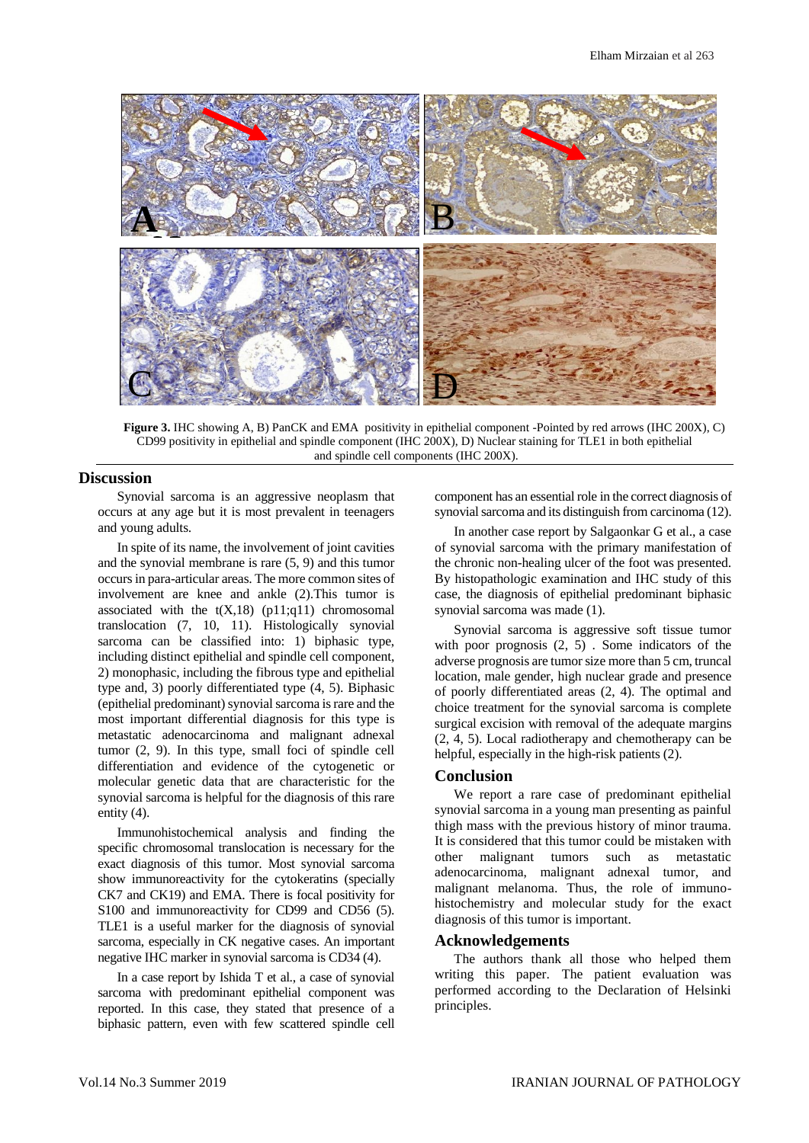

**Figure 3.** IHC showing A, B) PanCK and EMA positivity in epithelial component -Pointed by red arrows (IHC 200X), C) CD99 positivity in epithelial and spindle component (IHC 200X), D) Nuclear staining for TLE1 in both epithelial and spindle cell components (IHC 200X).

## **Discussion**

Synovial sarcoma is an aggressive neoplasm that occurs at any age but it is most prevalent in teenagers and young adults.

In spite of its name, the involvement of joint cavities and the synovial membrane is rare (5, 9) and this tumor occurs in para-articular areas. The more common sites of involvement are knee and ankle (2).This tumor is associated with the  $t(X,18)$  (p11;q11) chromosomal translocation (7, 10, 11). Histologically synovial sarcoma can be classified into: 1) biphasic type, including distinct epithelial and spindle cell component, 2) monophasic, including the fibrous type and epithelial type and, 3) poorly differentiated type (4, 5). Biphasic (epithelial predominant) synovial sarcoma is rare and the most important differential diagnosis for this type is metastatic adenocarcinoma and malignant adnexal tumor (2, 9). In this type, small foci of spindle cell differentiation and evidence of the cytogenetic or molecular genetic data that are characteristic for the synovial sarcoma is helpful for the diagnosis of this rare entity (4).

Immunohistochemical analysis and finding the specific chromosomal translocation is necessary for the exact diagnosis of this tumor. Most synovial sarcoma show immunoreactivity for the cytokeratins (specially CK7 and CK19) and EMA. There is focal positivity for S100 and immunoreactivity for CD99 and CD56 (5). TLE1 is a useful marker for the diagnosis of synovial sarcoma, especially in CK negative cases. An important negative IHC marker in synovial sarcoma is CD34 (4).

In a case report by Ishida T et al., a case of synovial sarcoma with predominant epithelial component was reported. In this case, they stated that presence of a biphasic pattern, even with few scattered spindle cell

component has an essential role in the correct diagnosis of synovial sarcoma and its distinguish from carcinoma (12).

In another case report by Salgaonkar G et al., a case of synovial sarcoma with the primary manifestation of the chronic non-healing ulcer of the foot was presented. By histopathologic examination and IHC study of this case, the diagnosis of epithelial predominant biphasic synovial sarcoma was made (1).

Synovial sarcoma is aggressive soft tissue tumor with poor prognosis (2, 5) . Some indicators of the adverse prognosis are tumor size more than 5 cm, truncal location, male gender, high nuclear grade and presence of poorly differentiated areas (2, 4). The optimal and choice treatment for the synovial sarcoma is complete surgical excision with removal of the adequate margins (2, 4, 5). Local radiotherapy and chemotherapy can be helpful, especially in the high-risk patients (2).

## **Conclusion**

We report a rare case of predominant epithelial synovial sarcoma in a young man presenting as painful thigh mass with the previous history of minor trauma. It is considered that this tumor could be mistaken with other malignant tumors such as metastatic adenocarcinoma, malignant adnexal tumor, and malignant melanoma. Thus, the role of immunohistochemistry and molecular study for the exact diagnosis of this tumor is important.

## **Acknowledgements**

The authors thank all those who helped them writing this paper. The patient evaluation was performed according to the Declaration of Helsinki principles.